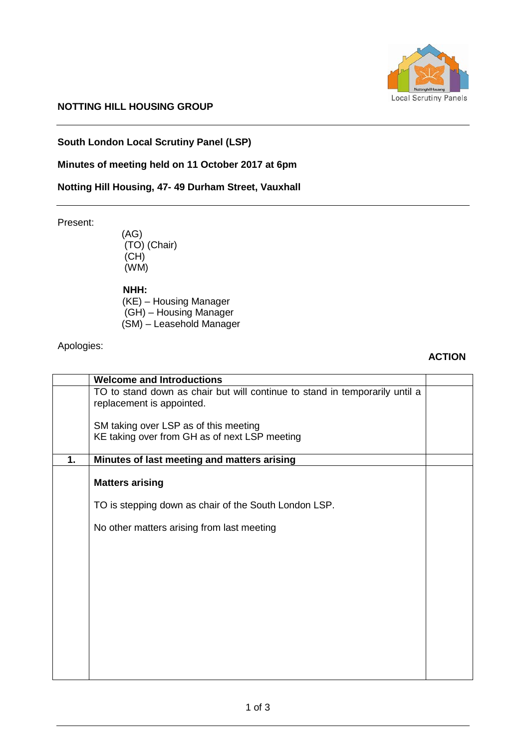

# **NOTTING HILL HOUSING GROUP**

# **South London Local Scrutiny Panel (LSP)**

#### **Minutes of meeting held on 11 October 2017 at 6pm**

# **Notting Hill Housing, 47- 49 Durham Street, Vauxhall**

Present:

(AG) (TO) (Chair) (CH) (WM)

 **NHH:**

 (KE) – Housing Manager (GH) – Housing Manager (SM) – Leasehold Manager

#### Apologies:

#### **ACTION**

|    | <b>Welcome and Introductions</b>                                            |  |
|----|-----------------------------------------------------------------------------|--|
|    | TO to stand down as chair but will continue to stand in temporarily until a |  |
|    | replacement is appointed.                                                   |  |
|    | SM taking over LSP as of this meeting                                       |  |
|    | KE taking over from GH as of next LSP meeting                               |  |
|    |                                                                             |  |
| 1. | Minutes of last meeting and matters arising                                 |  |
|    | <b>Matters arising</b>                                                      |  |
|    |                                                                             |  |
|    | TO is stepping down as chair of the South London LSP.                       |  |
|    | No other matters arising from last meeting                                  |  |
|    |                                                                             |  |
|    |                                                                             |  |
|    |                                                                             |  |
|    |                                                                             |  |
|    |                                                                             |  |
|    |                                                                             |  |
|    |                                                                             |  |
|    |                                                                             |  |
|    |                                                                             |  |
|    |                                                                             |  |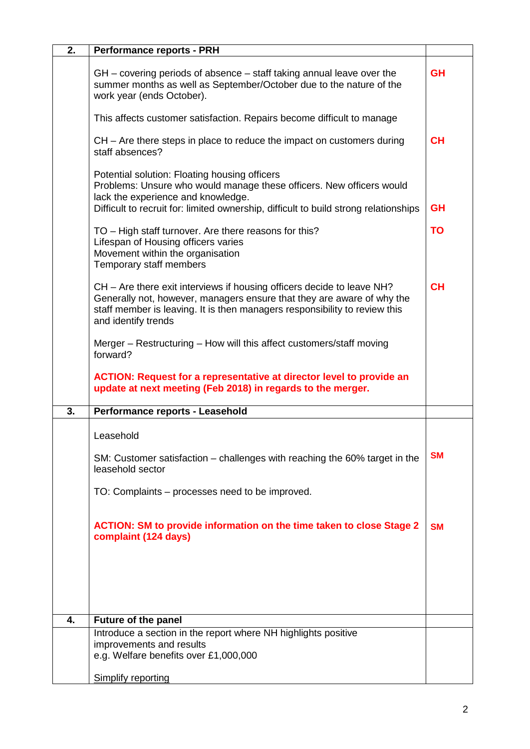| 2. | <b>Performance reports - PRH</b>                                                                                                                                                                                                                      |           |
|----|-------------------------------------------------------------------------------------------------------------------------------------------------------------------------------------------------------------------------------------------------------|-----------|
|    | GH – covering periods of absence – staff taking annual leave over the<br>summer months as well as September/October due to the nature of the<br>work year (ends October).                                                                             | <b>GH</b> |
|    | This affects customer satisfaction. Repairs become difficult to manage                                                                                                                                                                                |           |
|    | CH – Are there steps in place to reduce the impact on customers during<br>staff absences?                                                                                                                                                             | <b>CH</b> |
|    | Potential solution: Floating housing officers<br>Problems: Unsure who would manage these officers. New officers would<br>lack the experience and knowledge.<br>Difficult to recruit for: limited ownership, difficult to build strong relationships   | <b>GH</b> |
|    | TO - High staff turnover. Are there reasons for this?<br>Lifespan of Housing officers varies<br>Movement within the organisation<br>Temporary staff members                                                                                           | <b>TO</b> |
|    | CH – Are there exit interviews if housing officers decide to leave NH?<br>Generally not, however, managers ensure that they are aware of why the<br>staff member is leaving. It is then managers responsibility to review this<br>and identify trends | <b>CH</b> |
|    | Merger – Restructuring – How will this affect customers/staff moving<br>forward?                                                                                                                                                                      |           |
|    | <b>ACTION: Request for a representative at director level to provide an</b><br>update at next meeting (Feb 2018) in regards to the merger.                                                                                                            |           |
| 3. | Performance reports - Leasehold                                                                                                                                                                                                                       |           |
|    | Leasehold                                                                                                                                                                                                                                             |           |
|    | SM: Customer satisfaction – challenges with reaching the 60% target in the<br>leasehold sector                                                                                                                                                        | <b>SM</b> |
|    | TO: Complaints - processes need to be improved.                                                                                                                                                                                                       |           |
|    | <b>ACTION: SM to provide information on the time taken to close Stage 2</b><br>complaint (124 days)                                                                                                                                                   | <b>SM</b> |
|    |                                                                                                                                                                                                                                                       |           |
| 4. | Future of the panel                                                                                                                                                                                                                                   |           |
|    | Introduce a section in the report where NH highlights positive<br>improvements and results<br>e.g. Welfare benefits over £1,000,000                                                                                                                   |           |
|    | <b>Simplify reporting</b>                                                                                                                                                                                                                             |           |